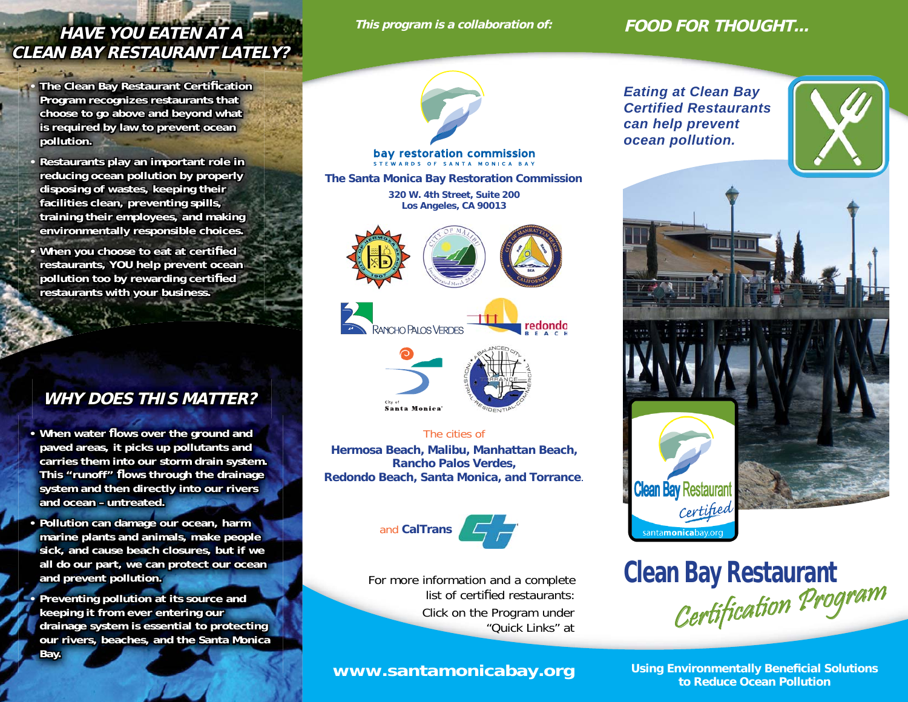# **This program is a collaboration of: HAVE YOU EATEN AT A AVE CLEAN BAY RESTAURANT LATELY? LEAN**

**The Clean Bay Restaurant Certification** Program recognizes restaurants that choose to go above and beyond what **is required by law to prevent ocean** pollution.

**•**

**•**

**•**

**•** Restaurants play an important role in reducing ocean pollution by properly disposing of wastes, keeping their facilities clean, preventing spills, **training their employees, and making raining**  environmentally responsible choices.

**When you choose to eat at certified** restaurants, YOU help prevent ocean **pollution too by rewarding certified restaurants with your business. estaurants** 

## **WHY DOES THIS MATTER? HY**

- When water flows over the ground and paved areas, it picks up pollutants and carries them into our storm drain system. This "runoff" flows through the drainage system and then directly into our rivers and ocean – untreated.
- Pollution can damage our ocean, harm marine plants and animals, make people sick, and cause beach closures, but if we all do our part, we can protect our ocean and prevent pollution.

Preventing pollution at its source and keeping it from ever entering our **drainage system is essential to protecting rainage**  our rivers, beaches, and the Santa Monica **Bay.**

### **FOOD FOR THOUGHT...**



# bay restoration commission

**The Santa Monica Bay Restoration Commission** 

**320 W. 4th Street, Suite 200 Los Angeles, CA 90013**





### The cities of **Hermosa Beach, Malibu, Manhattan Beach, Rancho Palos Verdes,**

**Redondo Beach, Santa Monica, and Torrance**.



Click on the Program under "Quick Links" atFor more information and a complete list of certified restaurants:

*Eating at Clean Bay Certified Restaurantscan help prevent ocean pollution.*





**Clean Bay Restaurant**  Certification Program

**Using Environmentally Beneficial Solutions to Reduce Ocean Pollution WWW.Santamonicabay.org**<br>to Reduce Ocean Pollution